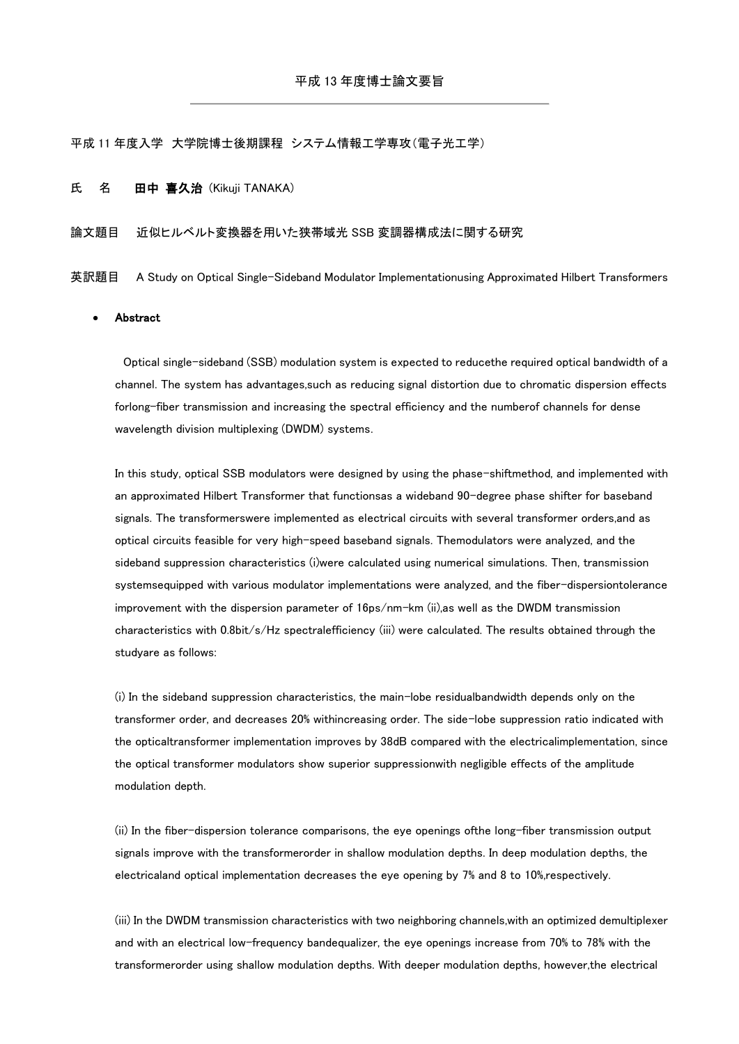## 平成 11 年度入学 大学院博士後期課程 システム情報工学専攻(電子光工学)

### 氏 名 田中 喜久治 (Kikuji TANAKA)

### 論文題目 近似ヒルベルト変換器を用いた狭帯域光 SSB 変調器構成法に関する研究

英訳題目 A Study on Optical Single-Sideband Modulator Implementationusing Approximated Hilbert Transformers

## Abstract

Optical single-sideband (SSB) modulation system is expected to reducethe required optical bandwidth of a channel. The system has advantages,such as reducing signal distortion due to chromatic dispersion effects forlong-fiber transmission and increasing the spectral efficiency and the numberof channels for dense wavelength division multiplexing (DWDM) systems.

In this study, optical SSB modulators were designed by using the phase-shiftmethod, and implemented with an approximated Hilbert Transformer that functionsas a wideband 90-degree phase shifter for baseband signals. The transformerswere implemented as electrical circuits with several transformer orders,and as optical circuits feasible for very high-speed baseband signals. Themodulators were analyzed, and the sideband suppression characteristics (i)were calculated using numerical simulations. Then, transmission systemsequipped with various modulator implementations were analyzed, and the fiber-dispersiontolerance improvement with the dispersion parameter of 16ps/nm-km (ii),as well as the DWDM transmission characteristics with 0.8bit/s/Hz spectralefficiency (iii) were calculated. The results obtained through the studyare as follows:

(i) In the sideband suppression characteristics, the main-lobe residualbandwidth depends only on the transformer order, and decreases 20% withincreasing order. The side-lobe suppression ratio indicated with the opticaltransformer implementation improves by 38dB compared with the electricalimplementation, since the optical transformer modulators show superior suppressionwith negligible effects of the amplitude modulation depth.

(ii) In the fiber-dispersion tolerance comparisons, the eye openings ofthe long-fiber transmission output signals improve with the transformerorder in shallow modulation depths. In deep modulation depths, the electricaland optical implementation decreases the eye opening by 7% and 8 to 10%,respectively.

(iii) In the DWDM transmission characteristics with two neighboring channels,with an optimized demultiplexer and with an electrical low-frequency bandequalizer, the eye openings increase from 70% to 78% with the transformerorder using shallow modulation depths. With deeper modulation depths, however,the electrical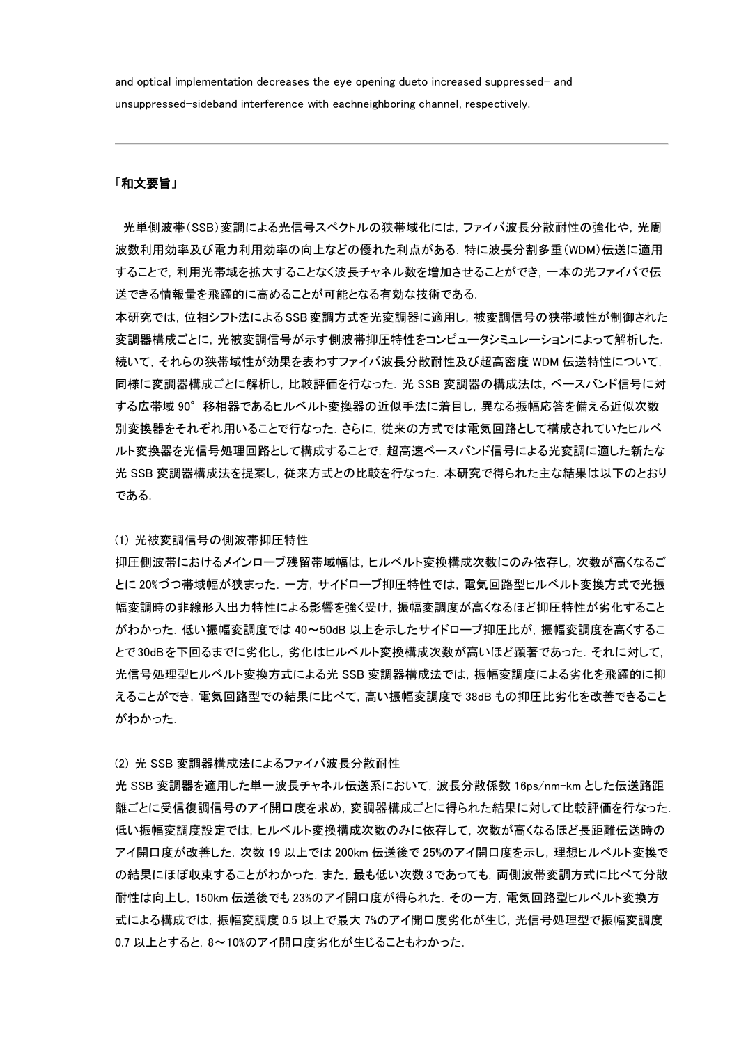and optical implementation decreases the eye opening dueto increased suppressed- and unsuppressed-sideband interference with eachneighboring channel, respectively.

# 「和文要旨」

光単側波帯(SSB)変調による光信号スペクトルの狭帯域化には,ファイバ波長分散耐性の強化や,光周 波数利用効率及び電力利用効率の向上などの優れた利点がある.特に波長分割多重(WDM)伝送に適用 することで,利用光帯域を拡大することなく波長チャネル数を増加させることができ,一本の光ファイバで伝 送できる情報量を飛躍的に高めることが可能となる有効な技術である.

本研究では,位相シフト法によるSSB変調方式を光変調器に適用し,被変調信号の狭帯域性が制御された 変調器構成ごとに,光被変調信号が示す側波帯抑圧特性をコンピュータシミュレーションによって解析した. 続いて,それらの狭帯域性が効果を表わすファイバ波長分散耐性及び超高密度 WDM 伝送特性について, 同様に変調器構成ごとに解析し,比較評価を行なった.光 SSB 変調器の構成法は,ベースバンド信号に対 する広帯域 90°移相器であるヒルベルト変換器の近似手法に着目し,異なる振幅応答を備える近似次数 別変換器をそれぞれ用いることで行なった.さらに,従来の方式では電気回路として構成されていたヒルベ ルト変換器を光信号処理回路として構成することで、超高速ベースバンド信号による光変調に適した新たな 光 SSB 変調器構成法を提案し,従来方式との比較を行なった.本研究で得られた主な結果は以下のとおり である.

## (1) 光被変調信号の側波帯抑圧特性

抑圧側波帯におけるメインローブ残留帯域幅は,ヒルベルト変換構成次数にのみ依存し,次数が高くなるご とに 20%づつ帯域幅が狭まった.一方,サイドローブ抑圧特性では,電気回路型ヒルベルト変換方式で光振 幅変調時の非線形入出力特性による影響を強く受け,振幅変調度が高くなるほど抑圧特性が劣化すること がわかった.低い振幅変調度では 40~50dB 以上を示したサイドローブ抑圧比が,振幅変調度を高くするこ とで30dBを下回るまでに劣化し,劣化はヒルベルト変換構成次数が高いほど顕著であった. それに対して, 光信号処理型ヒルベルト変換方式による光 SSB 変調器構成法では,振幅変調度による劣化を飛躍的に抑 えることができ,電気回路型での結果に比べて,高い振幅変調度で 38dB もの抑圧比劣化を改善できること がわかった.

(2) 光 SSB 変調器構成法によるファイバ波長分散耐性

光 SSB 変調器を適用した単一波長チャネル伝送系において,波長分散係数 16ps/nm-km とした伝送路距 離ごとに受信復調信号のアイ開口度を求め,変調器構成ごとに得られた結果に対して比較評価を行なった. 低い振幅変調度設定では,ヒルベルト変換構成次数のみに依存して,次数が高くなるほど長距離伝送時の アイ開口度が改善した. 次数 19 以上では 200km 伝送後で 25%のアイ開口度を示し, 理想ヒルベルト変換で の結果にほぼ収束することがわかった. また, 最も低い次数3であっても, 両側波帯変調方式に比べて分散 耐性は向上し,150km 伝送後でも 23%のアイ開口度が得られた.その一方,電気回路型ヒルベルト変換方 式による構成では,振幅変調度 0.5 以上で最大 7%のアイ開口度劣化が生じ,光信号処理型で振幅変調度 0.7 以上とすると,8~10%のアイ開口度劣化が生じることもわかった.